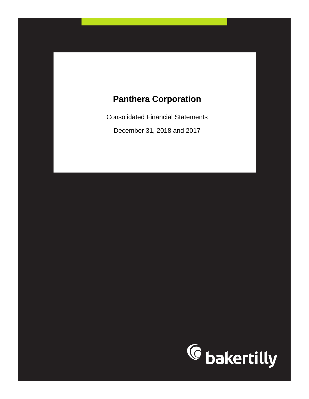Consolidated Financial Statements

December 31, 2018 and 2017

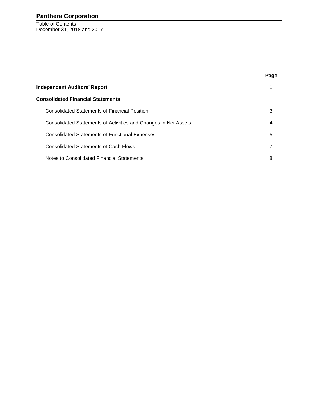Table of Contents December 31, 2018 and 2017

|                                                                 | Page |
|-----------------------------------------------------------------|------|
| <b>Independent Auditors' Report</b>                             |      |
| <b>Consolidated Financial Statements</b>                        |      |
| <b>Consolidated Statements of Financial Position</b>            | 3    |
| Consolidated Statements of Activities and Changes in Net Assets | 4    |
| <b>Consolidated Statements of Functional Expenses</b>           | 5    |
| <b>Consolidated Statements of Cash Flows</b>                    | 7    |
| Notes to Consolidated Financial Statements                      | 8    |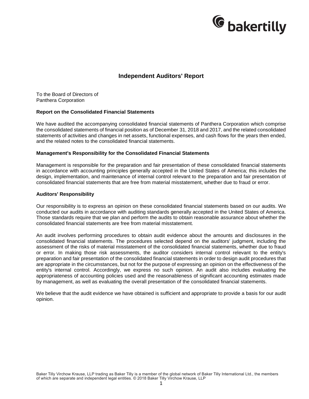

## **Independent Auditors' Report**

To the Board of Directors of Panthera Corporation

#### **Report on the Consolidated Financial Statements**

We have audited the accompanying consolidated financial statements of Panthera Corporation which comprise the consolidated statements of financial position as of December 31, 2018 and 2017, and the related consolidated statements of activities and changes in net assets, functional expenses, and cash flows for the years then ended, and the related notes to the consolidated financial statements.

#### **Management's Responsibility for the Consolidated Financial Statements**

Management is responsible for the preparation and fair presentation of these consolidated financial statements in accordance with accounting principles generally accepted in the United States of America; this includes the design, implementation, and maintenance of internal control relevant to the preparation and fair presentation of consolidated financial statements that are free from material misstatement, whether due to fraud or error.

#### **Auditors' Responsibility**

Our responsibility is to express an opinion on these consolidated financial statements based on our audits. We conducted our audits in accordance with auditing standards generally accepted in the United States of America. Those standards require that we plan and perform the audits to obtain reasonable assurance about whether the consolidated financial statements are free from material misstatement.

An audit involves performing procedures to obtain audit evidence about the amounts and disclosures in the consolidated financial statements. The procedures selected depend on the auditors' judgment, including the assessment of the risks of material misstatement of the consolidated financial statements, whether due to fraud or error. In making those risk assessments, the auditor considers internal control relevant to the entity's preparation and fair presentation of the consolidated financial statements in order to design audit procedures that are appropriate in the circumstances, but not for the purpose of expressing an opinion on the effectiveness of the entity's internal control. Accordingly, we express no such opinion. An audit also includes evaluating the appropriateness of accounting policies used and the reasonableness of significant accounting estimates made by management, as well as evaluating the overall presentation of the consolidated financial statements.

We believe that the audit evidence we have obtained is sufficient and appropriate to provide a basis for our audit opinion.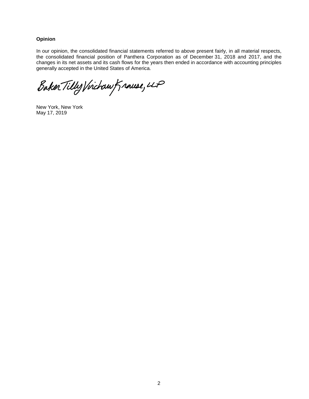**Opinion**

In our opinion, the consolidated financial statements referred to above present fairly, in all material respects, the consolidated financial position of Panthera Corporation as of December 31, 2018 and 2017, and the changes in its net assets and its cash flows for the years then ended in accordance with accounting principles generally accepted in the United States of America.

Baker Tilly Virchaw Krause, LLP

New York, New York May 17, 2019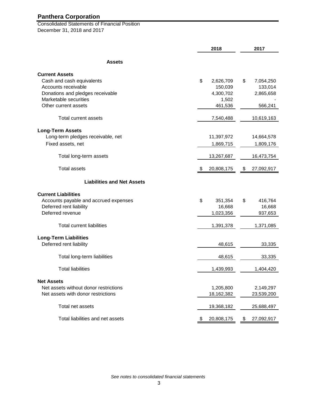Consolidated Statements of Financial Position December 31, 2018 and 2017

|                                       | 2018             | 2017             |
|---------------------------------------|------------------|------------------|
| <b>Assets</b>                         |                  |                  |
| <b>Current Assets</b>                 |                  |                  |
| Cash and cash equivalents             | \$<br>2,626,709  | \$<br>7,054,250  |
| Accounts receivable                   | 150,039          | 133,014          |
| Donations and pledges receivable      | 4,300,702        | 2,865,658        |
| Marketable securities                 | 1,502            |                  |
| Other current assets                  | 461,536          | 566,241          |
| Total current assets                  | 7,540,488        | 10,619,163       |
| <b>Long-Term Assets</b>               |                  |                  |
| Long-term pledges receivable, net     | 11,397,972       | 14,664,578       |
| Fixed assets, net                     | 1,869,715        | 1,809,176        |
|                                       |                  |                  |
| Total long-term assets                | 13,267,687       | 16,473,754       |
| <b>Total assets</b>                   | 20,808,175<br>\$ | 27,092,917<br>\$ |
| <b>Liabilities and Net Assets</b>     |                  |                  |
| <b>Current Liabilities</b>            |                  |                  |
| Accounts payable and accrued expenses | \$<br>351,354    | \$<br>416,764    |
| Deferred rent liability               | 16,668           | 16,668           |
| Deferred revenue                      | 1,023,356        | 937,653          |
| <b>Total current liabilities</b>      | 1,391,378        | 1,371,085        |
| <b>Long-Term Liabilities</b>          |                  |                  |
| Deferred rent liability               | 48,615           | 33,335           |
|                                       |                  |                  |
| Total long-term liabilities           | 48,615           | 33,335           |
| <b>Total liabilities</b>              | 1,439,993        | 1,404,420        |
| <b>Net Assets</b>                     |                  |                  |
| Net assets without donor restrictions | 1,205,800        | 2,149,297        |
| Net assets with donor restrictions    | 18,162,382       | 23,539,200       |
| Total net assets                      | 19,368,182       | 25,688,497       |
| Total liabilities and net assets      | 20,808,175       | 27,092,917       |
|                                       |                  |                  |

*See notes to consolidated financial statements*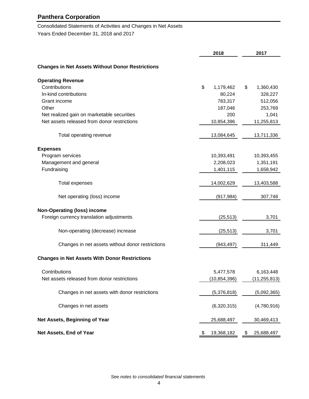Consolidated Statements of Activities and Changes in Net Assets Years Ended December 31, 2018 and 2017

|                                                         | 2018             | 2017             |
|---------------------------------------------------------|------------------|------------------|
| <b>Changes in Net Assets Without Donor Restrictions</b> |                  |                  |
| <b>Operating Revenue</b>                                |                  |                  |
| Contributions                                           | \$<br>1,179,462  | \$<br>1,360,430  |
| In-kind contributions                                   | 80,224           | 328,227          |
| Grant income                                            | 783,317          | 512,056          |
| Other                                                   | 187,046          | 253,769          |
| Net realized gain on marketable securities              | 200              | 1,041            |
| Net assets released from donor restrictions             | 10,854,396       | 11,255,813       |
| Total operating revenue                                 | 13,084,645       | 13,711,336       |
| <b>Expenses</b>                                         |                  |                  |
| Program services                                        | 10,393,491       | 10,393,455       |
| Management and general                                  | 2,208,023        | 1,351,191        |
| Fundraising                                             | 1,401,115        | 1,658,942        |
| Total expenses                                          | 14,002,629       | 13,403,588       |
| Net operating (loss) income                             | (917, 984)       | 307,748          |
| <b>Non-Operating (loss) income</b>                      |                  |                  |
| Foreign currency translation adjustments                | (25, 513)        | 3,701            |
| Non-operating (decrease) increase                       | (25, 513)        | 3,701            |
| Changes in net assets without donor restrictions        | (943, 497)       | 311,449          |
| <b>Changes in Net Assets With Donor Restrictions</b>    |                  |                  |
| Contributions                                           | 5,477,578        | 6,163,448        |
| Net assets released from donor restrictions             | (10, 854, 396)   | (11, 255, 813)   |
| Changes in net assets with donor restrictions           | (5,376,818)      | (5,092,365)      |
| Changes in net assets                                   | (6,320,315)      | (4,780,916)      |
| Net Assets, Beginning of Year                           | 25,688,497       | 30,469,413       |
| Net Assets, End of Year                                 | 19,368,182<br>\$ | 25,688,497<br>\$ |

*See notes to consolidated financial statements*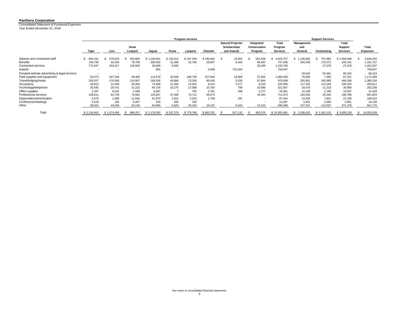**Panthera Corporation** Consolidated Statement of Functional Expenses

Year Ended December 31, 2018

|                                              | <b>Program services</b> |             |           |             |           | <b>Support Services</b>  |                          |                          |              |                 |            |                    |                 |                  |
|----------------------------------------------|-------------------------|-------------|-----------|-------------|-----------|--------------------------|--------------------------|--------------------------|--------------|-----------------|------------|--------------------|-----------------|------------------|
|                                              |                         |             |           |             |           |                          |                          | <b>Special Projects/</b> | Integrated   | Total           | Management |                    | Total           |                  |
|                                              |                         |             | Snow      |             |           |                          |                          | Scholarships             | Conservation | Program         | and        |                    | Support         | Total            |
|                                              | Tiger                   | Lion        | Leopard   | Jaguar      | Puma      | Leopard                  | Cheetah                  | and Awards               | Program      | <b>Services</b> | General    | <b>Fundraising</b> | <b>Services</b> | <b>Expenses</b>  |
| Salaries and contracted staff                | 692,431                 | 578.019     | 405,860   | \$1,100,651 | \$133,613 | \$347,340                | 190,062                  | 19,453                   | 552,328      | 4,019,757       | 1,100,683  | 707,885            | \$1,808,568     | 5,828,325        |
| <b>Benefits</b>                              | 136,798                 | 50,434      | 78,789    | 295,502     | 31,408    | 32,769                   | 18,807                   | 6.442                    | 96,687       | 747,636         | 254,530    | 179,571            | 434,101         | 1,181,737        |
| Contracted services                          | 774,447                 | 234,217     | 149,500   | 36,095      | 9,500     |                          | . .                      |                          | 30,000       | ,233,759        | $\sim$     | 27,278             | 27,278          | 1,261,037        |
| Awards                                       |                         | <b>.</b>    |           | 804         |           | $\overline{\phantom{a}}$ | 5,688                    | 752,555                  |              | 759,047         | $\sim$     | $\sim$             |                 | 759,047          |
| Donated website advertising & legal services | ٠.                      |             |           |             |           |                          |                          |                          |              |                 | 29,643     | 50,581             | 80,224          | 80,224           |
| Field supplies and equipment                 | 50,473                  | 347,258     | 49,466    | 114,579     | 28,926    | 188,736                  | 227,949                  | 18,809                   | 57,832       | 1,084,028       | 79,936     | 7.485              | 87,421          | 1,171,449        |
| Travel/lodging/meals                         | 192,557                 | 176,599     | 110,087   | 198,356     | 45,884    | 73,258                   | 89,428                   | 5,035                    | 87,844       | 979,048         | 255,801    | 150,385            | 406,186         | 1,385,234        |
| Occupancy                                    | 40,813                  | 21,439      | 40,305    | 72,458      | 11,492    | 14,562                   | 8,215                    | 4.277                    | 6,525        | 220,086         | 117,331    | 113,194            | 230,525         | 450,611          |
| Technology/telephone                         | 35,935                  | 29,741      | 31,222    | 64,735      | 10,275    | 17,089                   | 10,783                   | 799                      | 20,988       | 221,567         | 19,470     | 11,219             | 30,689          | 252,256          |
| Office supplies                              | 2.187                   | 8.162       | 2,269     | 8,597       |           | 782                      | 2.791                    | 309                      | 1.277        | 26,381          | 12,238     | 2.799              | 15,037          | 41,418           |
| Professional services                        | 158,811                 | 82,739      | 74,581    | 129,267     | 57,400    | 73,711                   | 99,073                   | $\overline{\phantom{a}}$ | 35,491       | 711,073         | 164,450    | 26,330             | 190,780         | 901,853          |
| Depreciation/amortization                    | 5,676                   | 2,399       | 11,645    | 61,970      | 1,651     | 2,023                    | 1,769                    | 291                      |              | 87.424          | 13,259     | 7.841              | 21,100          | 108,524          |
| Conference/meetings                          | 5,519                   | 100         | 6,407     | 526         | 400       | 335                      | $\overline{\phantom{a}}$ |                          |              | 13,287          | 3,361      | 2.490              | 5,851           | 19,138           |
| Other                                        | 38,815                  | 43,349      | 26,126    | 94,660      | 6,823     | 29,163                   | 29,197                   | 9,162                    | 13,103       | 290,398         | 157,321    | 114,057            | 271,378         | 561,776          |
| Total                                        | \$2,134,462             | \$1,574,456 | \$986,257 | \$2,178,200 | \$337,379 | \$779,768                | \$683,762                | 817,132                  | 902,075      | \$10,393,491    | 2,208,023  | \$1,401,115        | \$3,609,138     | 14,002,629<br>-S |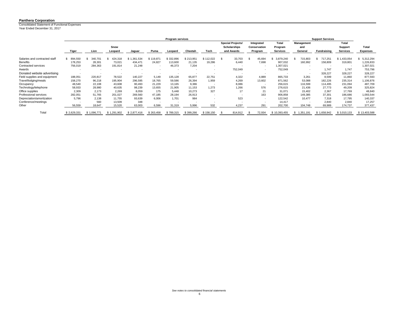**Panthera Corporation** Consolidated Statement of Functional Expenses

Year Ended December 31, 2017

|                               | <b>Program services</b> |             |             |             |                          |           |           | <b>Support Services</b> |                          |              |                 |                 |                    |                 |                 |
|-------------------------------|-------------------------|-------------|-------------|-------------|--------------------------|-----------|-----------|-------------------------|--------------------------|--------------|-----------------|-----------------|--------------------|-----------------|-----------------|
|                               |                         |             |             |             |                          |           |           |                         | <b>Special Projects/</b> | Integrated   | Total           | Management      |                    | Total           |                 |
|                               |                         |             | Snow        |             |                          |           |           |                         | Scholarships             | Conservation | Program         | and             |                    | Support         | Total           |
|                               | Tiger                   | Lion        | Leopard     | Jaguar      | Puma                     | Leopard   | Cheetah   | Tech                    | and Awards               | Program      | <b>Services</b> | General         | <b>Fundraising</b> | <b>Services</b> | <b>Expenses</b> |
| Salaries and contracted staff | 894,550                 | 340,701     | 424,318     | \$1,361,534 | \$119,871                | \$332,896 | \$213,951 | \$112,022               | 33,703                   | 45,694       | 3,879,240       | 715,803         | 717,251            | \$1,433,054     | 5,312,294       |
| <b>Benefits</b>               | 178,253                 | 28,301      | 73,021      | 434,471     | 24,827                   | 113,600   | 21,135    | 19,286                  | 6.440                    | 7,698        | 907,032         | 160,992         | 158,809            | 319,801         | 1,226,833       |
| Contracted services           | 756,019                 | 284,363     | 191,814     | 21,248      | $\overline{\phantom{a}}$ | 46,373    | 7,204     |                         |                          |              | ,307,021        |                 |                    |                 | 1,307,021       |
| Awards                        |                         |             |             |             |                          |           |           |                         | 752,049                  |              | 752,049         |                 | 1.747              | 1.747           | 753,796         |
| Donated website advertising   |                         |             |             |             |                          |           |           |                         |                          | <b>.</b>     |                 |                 | 328,227            | 328,227         | 328,227         |
| Field supplies and equipment  | 188,051                 | 220,817     | 78,522      | 140,227     | 5.149                    | 135,128   | 65,877    | 22,751                  | 4,322                    | 4,889        | 865,733         | 3,261           | 8,599              | 11,860          | 877,593         |
| Travel/lodging/meals          | 158,270                 | 96,218      | 195,904     | 296,595     | 18,765                   | 59,586    | 26,394    | 1,959                   | 4,269                    | 13,602       | 871,562         | 53,088          | 182,226            | 235,314         | 1,106,876       |
| Occupancy                     | 48,540                  | 22,108      | 43,608      | 90,493      | 21.229                   | 13,165    | 9,386     |                         | 8,086                    |              | 256,615         | 116,599         | 114,495            | 231,094         | 487,709         |
| Technology/telephone          | 58,933                  | 28,980      | 40,635      | 98,239      | 13,655                   | 21,905    | 11,153    | 1,273                   | 1,266                    | 576          | 276,615         | 21,436          | 27,773             | 49.209          | 325,824         |
| Office supplies               | 2,309                   | 2.173       | 2,269       | 8.059       | 175                      | 5.448     | 10,273    | 327                     | 17                       | 21           | 31,071          | 15,402          | 2,367              | 17.769          | 48,840          |
| Professional services         | 282,051                 | 51,765      | 201,027     | 269,560     | 47,185                   | 28,194    | 26,913    |                         |                          | 163          | 906,858         | 149,385         | 37,301             | 186,686         | 1,093,544       |
| Depreciation/amortization     | 5,796                   | 2,138       | 11,755      | 93,639      | 6,006                    | 1,701     | 984       |                         | 523                      | . н.         | 122,542         | 10,477          | 7,318              | 17,795          | 140,337         |
| Conference/meetings           |                         | 560         | 13,509      | 348         |                          |           |           |                         | <b>.</b>                 | <b>.</b>     | 14,417          |                 | 2,840              | 2,840           | 17,257          |
| Other                         | 56,559                  | 18,647      | 15,520      | 63,003      | 6,596                    | 31,319    | 5,996     | 532                     | 4,237                    | 291          | 202,700         | 104,748         | 69,989             | 174,737         | 377,437         |
| Total                         | \$2,629,331             | \$1,096,771 | \$1,291,902 | \$2,877,416 | \$263,458                | \$789,315 | \$399,266 | \$158,150               | 814,912                  | 72,934       | \$10,393,455    | 1,351,191<br>-S | \$1,658,942        | \$3,010,133     | \$13,403,588    |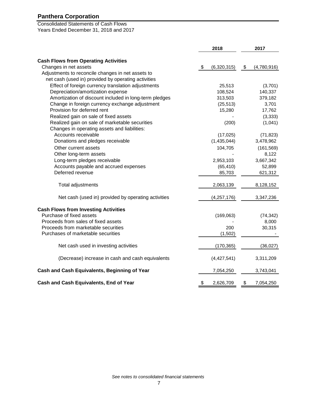Consolidated Statements of Cash Flows Years Ended December 31, 2018 and 2017

|                                                        |     | 2018          | 2017              |
|--------------------------------------------------------|-----|---------------|-------------------|
|                                                        |     |               |                   |
| <b>Cash Flows from Operating Activities</b>            |     |               |                   |
| Changes in net assets                                  | -\$ | (6,320,315)   | \$<br>(4,780,916) |
| Adjustments to reconcile changes in net assets to      |     |               |                   |
| net cash (used in) provided by operating activities    |     |               |                   |
| Effect of foreign currency translation adjustments     |     | 25,513        | (3,701)           |
| Depreciation/amortization expense                      |     | 108,524       | 140,337           |
| Amortization of discount included in long-term pledges |     | 313,503       | 379,182           |
| Change in foreign currency exchange adjustment         |     | (25, 513)     | 3,701             |
| Provision for deferred rent                            |     | 15,280        | 17,762            |
| Realized gain on sale of fixed assets                  |     |               | (3, 333)          |
| Realized gain on sale of marketable securities         |     | (200)         | (1,041)           |
| Changes in operating assets and liabilities:           |     |               |                   |
| Accounts receivable                                    |     | (17, 025)     | (71, 823)         |
| Donations and pledges receivable                       |     | (1,435,044)   | 3,478,962         |
| Other current assets                                   |     | 104,705       | (161, 569)        |
| Other long-term assets                                 |     |               | 8,122             |
| Long-term pledges receivable                           |     | 2,953,103     | 3,667,342         |
| Accounts payable and accrued expenses                  |     | (65, 410)     | 52,899            |
| Deferred revenue                                       |     | 85,703        | 621,312           |
| Total adjustments                                      |     | 2,063,139     | 8,128,152         |
| Net cash (used in) provided by operating activities    |     | (4, 257, 176) | 3,347,236         |
| <b>Cash Flows from Investing Activities</b>            |     |               |                   |
| Purchase of fixed assets                               |     | (169,063)     | (74, 342)         |
| Proceeds from sales of fixed assets                    |     |               | 8,000             |
| Proceeds from marketable securities                    |     | 200           | 30,315            |
| Purchases of marketable securities                     |     | (1,502)       |                   |
| Net cash used in investing activities                  |     | (170, 365)    | (36, 027)         |
| (Decrease) increase in cash and cash equivalents       |     | (4, 427, 541) | 3,311,209         |
| Cash and Cash Equivalents, Beginning of Year           |     | 7,054,250     | 3,743,041         |
| Cash and Cash Equivalents, End of Year                 | \$  | 2,626,709     | \$<br>7,054,250   |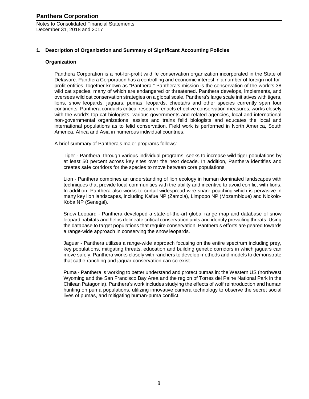Notes to Consolidated Financial Statements December 31, 2018 and 2017

#### **1. Description of Organization and Summary of Significant Accounting Policies**

#### **Organization**

Panthera Corporation is a not-for-profit wildlife conservation organization incorporated in the State of Delaware. Panthera Corporation has a controlling and economic interest in a number of foreign not-forprofit entities, together known as "Panthera." Panthera's mission is the conservation of the world's 38 wild cat species, many of which are endangered or threatened. Panthera develops, implements, and oversees wild cat conservation strategies on a global scale. Panthera's large scale initiatives with tigers, lions, snow leopards, jaguars, pumas, leopards, cheetahs and other species currently span four continents. Panthera conducts critical research, enacts effective conservation measures, works closely with the world's top cat biologists, various governments and related agencies, local and international non-governmental organizations, assists and trains felid biologists and educates the local and international populations as to felid conservation. Field work is performed in North America, South America, Africa and Asia in numerous individual countries.

A brief summary of Panthera's major programs follows:

Tiger - Panthera, through various individual programs, seeks to increase wild tiger populations by at least 50 percent across key sites over the next decade. In addition, Panthera identifies and creates safe corridors for the species to move between core populations.

Lion - Panthera combines an understanding of lion ecology in human dominated landscapes with techniques that provide local communities with the ability and incentive to avoid conflict with lions. In addition, Panthera also works to curtail widespread wire-snare poaching which is pervasive in many key lion landscapes, including Kafue NP (Zambia), Limpopo NP (Mozambique) and Niokolo-Koba NP (Senegal).

Snow Leopard - Panthera developed a state-of-the-art global range map and database of snow leopard habitats and helps delineate critical conservation units and identify prevailing threats. Using the database to target populations that require conservation, Panthera's efforts are geared towards a range-wide approach in conserving the snow leopards.

Jaguar - Panthera utilizes a range-wide approach focusing on the entire spectrum including prey, key populations, mitigating threats, education and building genetic corridors in which jaguars can move safely. Panthera works closely with ranchers to develop methods and models to demonstrate that cattle ranching and jaguar conservation can co-exist.

Puma - Panthera is working to better understand and protect pumas in: the Western US (northwest Wyoming and the San Francisco Bay Area and the region of Torres del Paine National Park in the Chilean Patagonia). Panthera's work includes studying the effects of wolf reintroduction and human hunting on puma populations, utilizing innovative camera technology to observe the secret social lives of pumas, and mitigating human-puma conflict.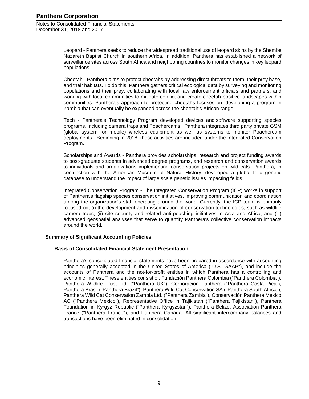Notes to Consolidated Financial Statements December 31, 2018 and 2017

> Leopard - Panthera seeks to reduce the widespread traditional use of leopard skins by the Shembe Nazareth Baptist Church in southern Africa. In addition, Panthera has established a network of surveillance sites across South Africa and neighboring countries to monitor changes in key leopard populations.

> Cheetah - Panthera aims to protect cheetahs by addressing direct threats to them, their prey base, and their habitats. To do this, Panthera gathers critical ecological data by surveying and monitoring populations and their prey, collaborating with local law enforcement officials and partners, and working with local communities to mitigate conflict and create cheetah-positive landscapes within communities. Panthera's approach to protecting cheetahs focuses on: developing a program in Zambia that can eventually be expanded across the cheetah's African range.

> Tech - Panthera's Technology Program developed devices and software supporting species programs, including camera traps and Poachercams. Panthera integrates third party private GSM (global system for mobile) wireless equipment as well as systems to monitor Poachercam deployments. Beginning in 2018, these activities are included under the Integrated Conservation Program.

> Scholarships and Awards - Panthera provides scholarships, research and project funding awards to post-graduate students in advanced degree programs, and research and conservation awards to individuals and organizations implementing conservation projects on wild cats. Panthera, in conjunction with the American Museum of Natural History, developed a global felid genetic database to understand the impact of large scale genetic issues impacting felids.

> Integrated Conservation Program - The Integrated Conservation Program (ICP) works in support of Panthera's flagship species conservation initiatives, improving communication and coordination among the organization's staff operating around the world. Currently, the ICP team is primarily focused on, (i) the development and dissemination of conservation technologies, such as wildlife camera traps, (ii) site security and related anti-poaching initiatives in Asia and Africa, and (iii) advanced geospatial analyses that serve to quantify Panthera's collective conservation impacts around the world.

#### **Summary of Significant Accounting Policies**

#### **Basis of Consolidated Financial Statement Presentation**

Panthera's consolidated financial statements have been prepared in accordance with accounting principles generally accepted in the United States of America ("U.S. GAAP"), and include the accounts of Panthera and the not-for-profit entities in which Panthera has a controlling and economic interest. These entities consist of: Fundación Panthera Colombia ("Panthera Colombia"); Panthera Wildlife Trust Ltd. ("Panthera UK"); Corporación Panthera ("Panthera Costa Rica"); Panthera Brasil ("Panthera Brazil"); Panthera Wild Cat Conservation SA ("Panthera South Africa"); Panthera Wild Cat Conservation Zambia Ltd. ("Panthera Zambia"), Conservación Panthera Mexico AC ("Panthera Mexico"), Representative Office in Tajikistan ("Panthera Tajikistan"), Panthera Foundation in Kyrgyz Republic ("Panthera Kyrgyzstan"), Panthera Belize, Association Panthera France ("Panthera France"), and Panthera Canada. All significant intercompany balances and transactions have been eliminated in consolidation.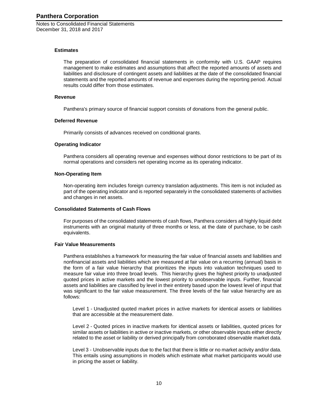Notes to Consolidated Financial Statements December 31, 2018 and 2017

#### **Estimates**

The preparation of consolidated financial statements in conformity with U.S. GAAP requires management to make estimates and assumptions that affect the reported amounts of assets and liabilities and disclosure of contingent assets and liabilities at the date of the consolidated financial statements and the reported amounts of revenue and expenses during the reporting period. Actual results could differ from those estimates.

#### **Revenue**

Panthera's primary source of financial support consists of donations from the general public.

#### **Deferred Revenue**

Primarily consists of advances received on conditional grants.

#### **Operating Indicator**

Panthera considers all operating revenue and expenses without donor restrictions to be part of its normal operations and considers net operating income as its operating indicator.

#### **Non-Operating Item**

Non-operating item includes foreign currency translation adjustments. This item is not included as part of the operating indicator and is reported separately in the consolidated statements of activities and changes in net assets.

#### **Consolidated Statements of Cash Flows**

For purposes of the consolidated statements of cash flows, Panthera considers all highly liquid debt instruments with an original maturity of three months or less, at the date of purchase, to be cash equivalents.

#### **Fair Value Measurements**

Panthera establishes a framework for measuring the fair value of financial assets and liabilities and nonfinancial assets and liabilities which are measured at fair value on a recurring (annual) basis in the form of a fair value hierarchy that prioritizes the inputs into valuation techniques used to measure fair value into three broad levels. This hierarchy gives the highest priority to unadjusted quoted prices in active markets and the lowest priority to unobservable inputs. Further, financial assets and liabilities are classified by level in their entirety based upon the lowest level of input that was significant to the fair value measurement. The three levels of the fair value hierarchy are as follows:

Level 1 - Unadjusted quoted market prices in active markets for identical assets or liabilities that are accessible at the measurement date.

Level 2 - Quoted prices in inactive markets for identical assets or liabilities, quoted prices for similar assets or liabilities in active or inactive markets, or other observable inputs either directly related to the asset or liability or derived principally from corroborated observable market data.

Level 3 - Unobservable inputs due to the fact that there is little or no market activity and/or data. This entails using assumptions in models which estimate what market participants would use in pricing the asset or liability.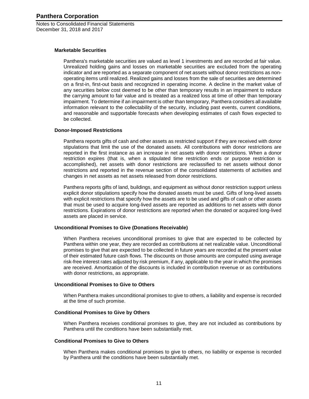Notes to Consolidated Financial Statements December 31, 2018 and 2017

#### **Marketable Securities**

Panthera's marketable securities are valued as level 1 investments and are recorded at fair value. Unrealized holding gains and losses on marketable securities are excluded from the operating indicator and are reported as a separate component of net assets without donor restrictions as nonoperating items until realized. Realized gains and losses from the sale of securities are determined on a first-in, first-out basis and recognized in operating income. A decline in the market value of any securities below cost deemed to be other than temporary results in an impairment to reduce the carrying amount to fair value and is treated as a realized loss at time of other than temporary impairment. To determine if an impairment is other than temporary, Panthera considers all available information relevant to the collectability of the security, including past events, current conditions, and reasonable and supportable forecasts when developing estimates of cash flows expected to be collected.

#### **Donor-Imposed Restrictions**

Panthera reports gifts of cash and other assets as restricted support if they are received with donor stipulations that limit the use of the donated assets. All contributions with donor restrictions are reported in the first instance as an increase in net assets with donor restrictions. When a donor restriction expires (that is, when a stipulated time restriction ends or purpose restriction is accomplished), net assets with donor restrictions are reclassified to net assets without donor restrictions and reported in the revenue section of the consolidated statements of activities and changes in net assets as net assets released from donor restrictions.

Panthera reports gifts of land, buildings, and equipment as without donor restriction support unless explicit donor stipulations specify how the donated assets must be used. Gifts of long-lived assets with explicit restrictions that specify how the assets are to be used and gifts of cash or other assets that must be used to acquire long-lived assets are reported as additions to net assets with donor restrictions. Expirations of donor restrictions are reported when the donated or acquired long-lived assets are placed in service.

#### **Unconditional Promises to Give (Donations Receivable)**

When Panthera receives unconditional promises to give that are expected to be collected by Panthera within one year, they are recorded as contributions at net realizable value. Unconditional promises to give that are expected to be collected in future years are recorded at the present value of their estimated future cash flows. The discounts on those amounts are computed using average risk-free interest rates adjusted by risk premium, if any, applicable to the year in which the promises are received. Amortization of the discounts is included in contribution revenue or as contributions with donor restrictions, as appropriate.

#### **Unconditional Promises to Give to Others**

When Panthera makes unconditional promises to give to others, a liability and expense is recorded at the time of such promise.

#### **Conditional Promises to Give by Others**

When Panthera receives conditional promises to give, they are not included as contributions by Panthera until the conditions have been substantially met.

#### **Conditional Promises to Give to Others**

When Panthera makes conditional promises to give to others, no liability or expense is recorded by Panthera until the conditions have been substantially met.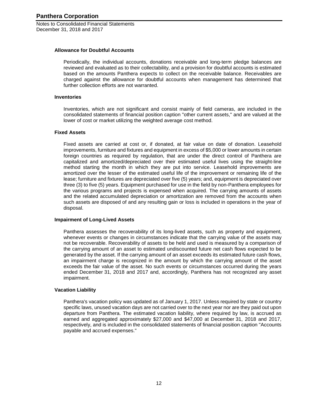#### **Allowance for Doubtful Accounts**

Periodically, the individual accounts, donations receivable and long-term pledge balances are reviewed and evaluated as to their collectability, and a provision for doubtful accounts is estimated based on the amounts Panthera expects to collect on the receivable balance. Receivables are charged against the allowance for doubtful accounts when management has determined that further collection efforts are not warranted.

#### **Inventories**

Inventories, which are not significant and consist mainly of field cameras, are included in the consolidated statements of financial position caption "other current assets," and are valued at the lower of cost or market utilizing the weighted average cost method.

#### **Fixed Assets**

Fixed assets are carried at cost or, if donated, at fair value on date of donation. Leasehold improvements, furniture and fixtures and equipment in excess of \$5,000 or lower amounts in certain foreign countries as required by regulation, that are under the direct control of Panthera are capitalized and amortized/depreciated over their estimated useful lives using the straight-line method starting the month in which they are put into service. Leasehold improvements are amortized over the lesser of the estimated useful life of the improvement or remaining life of the lease; furniture and fixtures are depreciated over five (5) years; and, equipment is depreciated over three (3) to five (5) years. Equipment purchased for use in the field by non-Panthera employees for the various programs and projects is expensed when acquired. The carrying amounts of assets and the related accumulated depreciation or amortization are removed from the accounts when such assets are disposed of and any resulting gain or loss is included in operations in the year of disposal.

#### **Impairment of Long-Lived Assets**

Panthera assesses the recoverability of its long-lived assets, such as property and equipment, whenever events or changes in circumstances indicate that the carrying value of the assets may not be recoverable. Recoverability of assets to be held and used is measured by a comparison of the carrying amount of an asset to estimated undiscounted future net cash flows expected to be generated by the asset. If the carrying amount of an asset exceeds its estimated future cash flows, an impairment charge is recognized in the amount by which the carrying amount of the asset exceeds the fair value of the asset. No such events or circumstances occurred during the years ended December 31, 2018 and 2017 and, accordingly, Panthera has not recognized any asset impairment.

#### **Vacation Liability**

Panthera's vacation policy was updated as of January 1, 2017. Unless required by state or country specific laws, unused vacation days are not carried over to the next year nor are they paid out upon departure from Panthera. The estimated vacation liability, where required by law, is accrued as earned and aggregated approximately \$27,000 and \$47,000 at December 31, 2018 and 2017, respectively, and is included in the consolidated statements of financial position caption "Accounts payable and accrued expenses."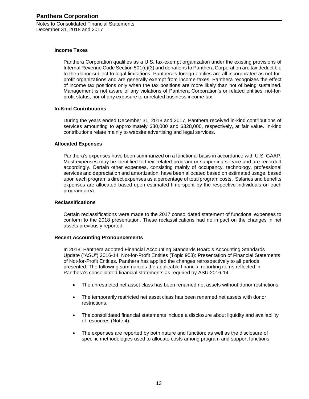#### **Income Taxes**

Panthera Corporation qualifies as a U.S. tax-exempt organization under the existing provisions of Internal Revenue Code Section 501(c)(3) and donations to Panthera Corporation are tax deductible to the donor subject to legal limitations. Panthera's foreign entities are all incorporated as not-forprofit organizations and are generally exempt from income taxes. Panthera recognizes the effect of income tax positions only when the tax positions are more likely than not of being sustained. Management is not aware of any violations of Panthera Corporation's or related entities' not-forprofit status, nor of any exposure to unrelated business income tax.

#### **In-Kind Contributions**

During the years ended December 31, 2018 and 2017, Panthera received in-kind contributions of services amounting to approximately \$80,000 and \$328,000, respectively, at fair value. In-kind contributions relate mainly to website advertising and legal services.

#### **Allocated Expenses**

Panthera's expenses have been summarized on a functional basis in accordance with U.S. GAAP. Most expenses may be identified to their related program or supporting service and are recorded accordingly. Certain other expenses, consisting mainly of occupancy, technology, professional services and depreciation and amortization, have been allocated based on estimated usage, based upon each program's direct expenses as a percentage of total program costs. Salaries and benefits expenses are allocated based upon estimated time spent by the respective individuals on each program area.

#### **Reclassifications**

Certain reclassifications were made to the 2017 consolidated statement of functional expenses to conform to the 2018 presentation. These reclassifications had no impact on the changes in net assets previously reported.

#### **Recent Accounting Pronouncements**

In 2018, Panthera adopted Financial Accounting Standards Board's Accounting Standards Update ("ASU") 2016-14, Not-for-Profit Entities (Topic 958): Presentation of Financial Statements of Not-for-Profit Entities. Panthera has applied the changes retrospectively to all periods presented. The following summarizes the applicable financial reporting items reflected in Panthera's consolidated financial statements as required by ASU 2016-14:

- The unrestricted net asset class has been renamed net assets without donor restrictions.
- The temporarily restricted net asset class has been renamed net assets with donor restrictions.
- The consolidated financial statements include a disclosure about liquidity and availability of resources (Note 4).
- The expenses are reported by both nature and function; as well as the disclosure of specific methodologies used to allocate costs among program and support functions.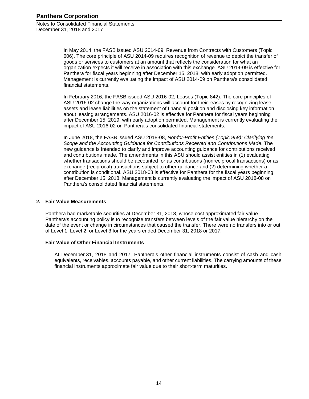> In May 2014, the FASB issued ASU 2014-09, Revenue from Contracts with Customers (Topic 606). The core principle of ASU 2014-09 requires recognition of revenue to depict the transfer of goods or services to customers at an amount that reflects the consideration for what an organization expects it will receive in association with this exchange. ASU 2014-09 is effective for Panthera for fiscal years beginning after December 15, 2018, with early adoption permitted. Management is currently evaluating the impact of ASU 2014-09 on Panthera's consolidated financial statements.

In February 2016, the FASB issued ASU 2016-02, Leases (Topic 842). The core principles of ASU 2016-02 change the way organizations will account for their leases by recognizing lease assets and lease liabilities on the statement of financial position and disclosing key information about leasing arrangements. ASU 2016-02 is effective for Panthera for fiscal years beginning after December 15, 2019, with early adoption permitted. Management is currently evaluating the impact of ASU 2016-02 on Panthera's consolidated financial statements.

In June 2018, the FASB issued ASU 2018-08, *Not-for-Profit Entities (Topic 958): Clarifying the Scope and the Accounting Guidance for Contributions Received and Contributions Made*. The new guidance is intended to clarify and improve accounting guidance for contributions received and contributions made. The amendments in this ASU should assist entities in (1) evaluating whether transactions should be accounted for as contributions (nonreciprocal transactions) or as exchange (reciprocal) transactions subject to other guidance and (2) determining whether a contribution is conditional. ASU 2018-08 is effective for Panthera for the fiscal years beginning after December 15, 2018. Management is currently evaluating the impact of ASU 2018-08 on Panthera's consolidated financial statements.

#### **2. Fair Value Measurements**

Panthera had marketable securities at December 31, 2018, whose cost approximated fair value. Panthera's accounting policy is to recognize transfers between levels of the fair value hierarchy on the date of the event or change in circumstances that caused the transfer. There were no transfers into or out of Level 1, Level 2, or Level 3 for the years ended December 31, 2018 or 2017.

### **Fair Value of Other Financial Instruments**

At December 31, 2018 and 2017, Panthera's other financial instruments consist of cash and cash equivalents, receivables, accounts payable, and other current liabilities. The carrying amounts of these financial instruments approximate fair value due to their short-term maturities.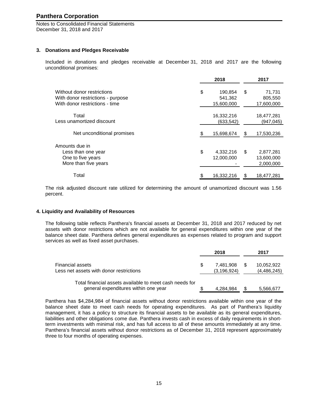Notes to Consolidated Financial Statements December 31, 2018 and 2017

### **3. Donations and Pledges Receivable**

Included in donations and pledges receivable at December 31, 2018 and 2017 are the following unconditional promises:

|                                                                                                   | 2018                                   |    | 2017                                 |
|---------------------------------------------------------------------------------------------------|----------------------------------------|----|--------------------------------------|
| Without donor restrictions<br>With donor restrictions - purpose<br>With donor restrictions - time | \$<br>190,854<br>541,362<br>15,600,000 | S  | 71,731<br>805,550<br>17,600,000      |
| Total<br>Less unamortized discount                                                                | 16,332,216<br>(633, 542)               |    | 18,477,281<br>(947, 045)             |
| Net unconditional promises                                                                        | 15,698,674                             | S  | 17,530,236                           |
| Amounts due in<br>Less than one year<br>One to five years<br>More than five years                 | \$<br>4,332,216<br>12,000,000          | \$ | 2,877,281<br>13,600,000<br>2,000,000 |
| Total                                                                                             | 16,332,216                             | \$ | 18,477,281                           |

The risk adjusted discount rate utilized for determining the amount of unamortized discount was 1.56 percent.

#### **4. Liquidity and Availability of Resources**

The following table reflects Panthera's financial assets at December 31, 2018 and 2017 reduced by net assets with donor restrictions which are not available for general expenditures within one year of the balance sheet date. Panthera defines general expenditures as expenses related to program and support services as well as fixed asset purchases.

|                                                                                                 |     | 2018                       | 2017                      |
|-------------------------------------------------------------------------------------------------|-----|----------------------------|---------------------------|
| <b>Financial assets</b><br>Less net assets with donor restrictions                              | \$. | 7.481.908<br>(3, 196, 924) | 10,052,922<br>(4,486,245) |
| Total financial assets available to meet cash needs for<br>general expenditures within one year |     | 4,284,984                  | 5,566,677                 |

Panthera has \$4,284,984 of financial assets without donor restrictions available within one year of the balance sheet date to meet cash needs for operating expenditures. As part of Panthera's liquidity management, it has a policy to structure its financial assets to be available as its general expenditures, liabilities and other obligations come due. Panthera invests cash in excess of daily requirements in shortterm investments with minimal risk, and has full access to all of these amounts immediately at any time. Panthera's financial assets without donor restrictions as of December 31, 2018 represent approximately three to four months of operating expenses.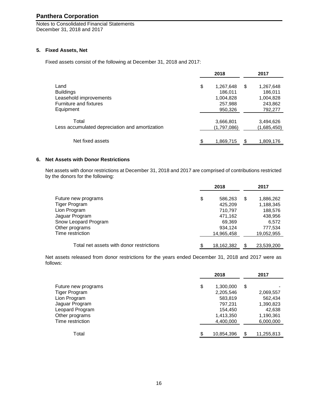Notes to Consolidated Financial Statements December 31, 2018 and 2017

### **5. Fixed Assets, Net**

Fixed assets consist of the following at December 31, 2018 and 2017:

|                                                                                                  | 2018                                                          | 2017                                                          |
|--------------------------------------------------------------------------------------------------|---------------------------------------------------------------|---------------------------------------------------------------|
| Land<br><b>Buildings</b><br>Leasehold improvements<br><b>Furniture and fixtures</b><br>Equipment | \$<br>1,267,648<br>186,011<br>1,004,828<br>257,988<br>950,326 | \$<br>1,267,648<br>186,011<br>1,004,828<br>243,862<br>792,277 |
| Total<br>Less accumulated depreciation and amortization                                          | 3,666,801<br>(1,797,086)                                      | 3,494,626<br>(1,685,450)                                      |
| Net fixed assets                                                                                 | \$<br>1,869,715                                               | \$<br>1,809,176                                               |

#### **6. Net Assets with Donor Restrictions**

Net assets with donor restrictions at December 31, 2018 and 2017 are comprised of contributions restricted by the donors for the following:

|                                          | 2018             |    | 2017       |
|------------------------------------------|------------------|----|------------|
| Future new programs                      | \$<br>586,263    | \$ | 1,886,262  |
| <b>Tiger Program</b>                     | 425,209          |    | 1,188,345  |
| Lion Program                             | 710,797          |    | 188,576    |
| Jaguar Program                           | 471,162          |    | 438,956    |
| Snow Leopard Program                     | 69,369           |    | 6,572      |
| Other programs                           | 934,124          |    | 777,534    |
| Time restriction                         | 14,965,458       |    | 19,052,955 |
| Total net assets with donor restrictions | \$<br>18,162,382 | S  | 23,539,200 |

Net assets released from donor restrictions for the years ended December 31, 2018 and 2017 were as follows:

|                      | 2018             |    | 2017       |
|----------------------|------------------|----|------------|
| Future new programs  | \$<br>1,300,000  | \$ |            |
| <b>Tiger Program</b> | 2,205,546        |    | 2,069,557  |
| Lion Program         | 583,819          |    | 562,434    |
| Jaguar Program       | 797,231          |    | 1,390,823  |
| Leopard Program      | 154,450          |    | 42,638     |
| Other programs       | 1,413,350        |    | 1,190,361  |
| Time restriction     | 4,400,000        |    | 6,000,000  |
|                      |                  |    |            |
| Total                | \$<br>10,854,396 | S  | 11,255,813 |
|                      |                  |    |            |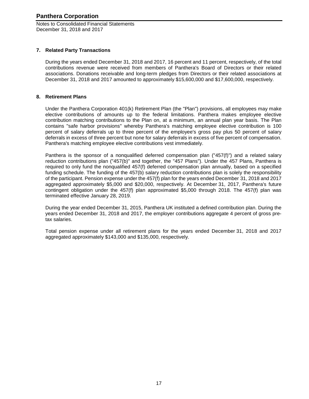### **7. Related Party Transactions**

During the years ended December 31, 2018 and 2017, 16 percent and 11 percent, respectively, of the total contributions revenue were received from members of Panthera's Board of Directors or their related associations. Donations receivable and long-term pledges from Directors or their related associations at December 31, 2018 and 2017 amounted to approximately \$15,600,000 and \$17,600,000, respectively.

### **8. Retirement Plans**

Under the Panthera Corporation 401(k) Retirement Plan (the "Plan") provisions, all employees may make elective contributions of amounts up to the federal limitations. Panthera makes employee elective contribution matching contributions to the Plan on, at a minimum, an annual plan year basis. The Plan contains "safe harbor provisions" whereby Panthera's matching employee elective contribution is 100 percent of salary deferrals up to three percent of the employee's gross pay plus 50 percent of salary deferrals in excess of three percent but none for salary deferrals in excess of five percent of compensation. Panthera's matching employee elective contributions vest immediately.

Panthera is the sponsor of a nonqualified deferred compensation plan ("457(f)") and a related salary reduction contributions plan ("457(b)" and together, the "457 Plans"). Under the 457 Plans, Panthera is required to only fund the nonqualified 457(f) deferred compensation plan annually, based on a specified funding schedule. The funding of the 457(b) salary reduction contributions plan is solely the responsibility of the participant. Pension expense under the 457(f) plan for the years ended December 31, 2018 and 2017 aggregated approximately \$5,000 and \$20,000, respectively. At December 31, 2017, Panthera's future contingent obligation under the 457(f) plan approximated \$5,000 through 2018. The 457(f) plan was terminated effective January 28, 2019.

During the year ended December 31, 2015, Panthera UK instituted a defined contribution plan. During the years ended December 31, 2018 and 2017, the employer contributions aggregate 4 percent of gross pretax salaries.

Total pension expense under all retirement plans for the years ended December 31, 2018 and 2017 aggregated approximately \$143,000 and \$135,000, respectively.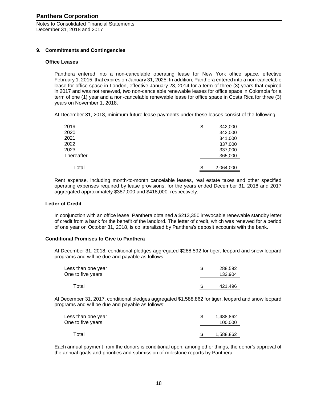#### **9. Commitments and Contingencies**

#### **Office Leases**

Panthera entered into a non-cancelable operating lease for New York office space, effective February 1, 2015, that expires on January 31, 2025. In addition, Panthera entered into a non-cancelable lease for office space in London, effective January 23, 2014 for a term of three (3) years that expired in 2017 and was not renewed, two non-cancelable renewable leases for office space in Colombia for a term of one (1) year and a non-cancelable renewable lease for office space in Costa Rica for three (3) years on November 1, 2018.

At December 31, 2018, minimum future lease payments under these leases consist of the following:

| 2019       | \$<br>342,000   |
|------------|-----------------|
| 2020       | 342,000         |
| 2021       | 341,000         |
| 2022       | 337,000         |
| 2023       | 337,000         |
| Thereafter | 365,000         |
|            |                 |
| Total      | \$<br>2,064,000 |

Rent expense, including month-to-month cancelable leases, real estate taxes and other specified operating expenses required by lease provisions, for the years ended December 31, 2018 and 2017 aggregated approximately \$387,000 and \$418,000, respectively.

#### **Letter of Credit**

In conjunction with an office lease, Panthera obtained a \$213,350 irrevocable renewable standby letter of credit from a bank for the benefit of the landlord. The letter of credit, which was renewed for a period of one year on October 31, 2018, is collateralized by Panthera's deposit accounts with the bank.

#### **Conditional Promises to Give to Panthera**

At December 31, 2018, conditional pledges aggregated \$288,592 for tiger, leopard and snow leopard programs and will be due and payable as follows:

| Less than one year<br>One to five years | 288,592<br>132.904 |
|-----------------------------------------|--------------------|
| Total                                   | 421.496            |

At December 31, 2017, conditional pledges aggregated \$1,588,862 for tiger, leopard and snow leopard programs and will be due and payable as follows:

| Less than one year<br>One to five years | 1,488,862<br>100,000 |
|-----------------------------------------|----------------------|
| Total                                   | 1,588,862            |

Each annual payment from the donors is conditional upon, among other things, the donor's approval of the annual goals and priorities and submission of milestone reports by Panthera.